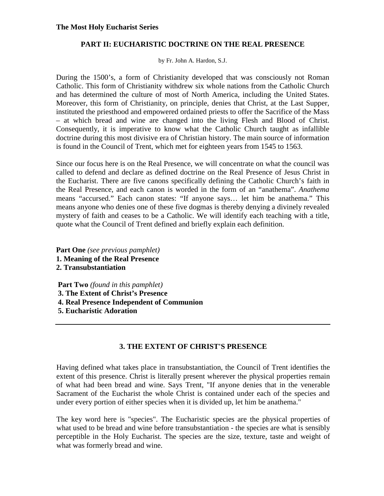## **PART II: EUCHARISTIC DOCTRINE ON THE REAL PRESENCE**

by Fr. John A. Hardon, S.J.

During the 1500's, a form of Christianity developed that was consciously not Roman Catholic. This form of Christianity withdrew six whole nations from the Catholic Church and has determined the culture of most of North America, including the United States. Moreover, this form of Christianity, on principle, denies that Christ, at the Last Supper, instituted the priesthood and empowered ordained priests to offer the Sacrifice of the Mass – at which bread and wine are changed into the living Flesh and Blood of Christ. Consequently, it is imperative to know what the Catholic Church taught as infallible doctrine during this most divisive era of Christian history. The main source of information is found in the Council of Trent, which met for eighteen years from 1545 to 1563.

Since our focus here is on the Real Presence, we will concentrate on what the council was called to defend and declare as defined doctrine on the Real Presence of Jesus Christ in the Eucharist. There are five canons specifically defining the Catholic Church's faith in the Real Presence, and each canon is worded in the form of an "anathema". *Anathema* means "accursed." Each canon states: "If anyone says… let him be anathema." This means anyone who denies one of these five dogmas is thereby denying a divinely revealed mystery of faith and ceases to be a Catholic. We will identify each teaching with a title, quote what the Council of Trent defined and briefly explain each definition.

**Part One** *(see previous pamphlet)* **1. Meaning of the Real Presence** 

**2. Transubstantiation** 

 **Part Two** *(found in this pamphlet)*

 **3. The Extent of Christ's Presence** 

 **4. Real Presence Independent of Communion** 

 **5. Eucharistic Adoration** 

## **3. THE EXTENT OF CHRIST'S PRESENCE**

Having defined what takes place in transubstantiation, the Council of Trent identifies the extent of this presence. Christ is literally present wherever the physical properties remain of what had been bread and wine. Says Trent, "If anyone denies that in the venerable Sacrament of the Eucharist the whole Christ is contained under each of the species and under every portion of either species when it is divided up, let him be anathema."

The key word here is "species". The Eucharistic species are the physical properties of what used to be bread and wine before transubstantiation - the species are what is sensibly perceptible in the Holy Eucharist. The species are the size, texture, taste and weight of what was formerly bread and wine.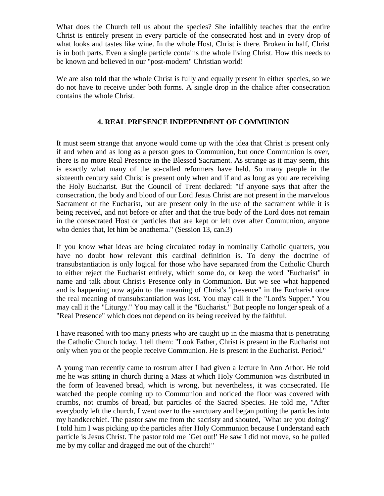What does the Church tell us about the species? She infallibly teaches that the entire Christ is entirely present in every particle of the consecrated host and in every drop of what looks and tastes like wine. In the whole Host, Christ is there. Broken in half, Christ is in both parts. Even a single particle contains the whole living Christ. How this needs to be known and believed in our "post-modern" Christian world!

We are also told that the whole Christ is fully and equally present in either species, so we do not have to receive under both forms. A single drop in the chalice after consecration contains the whole Christ.

## **4. REAL PRESENCE INDEPENDENT OF COMMUNION**

It must seem strange that anyone would come up with the idea that Christ is present only if and when and as long as a person goes to Communion, but once Communion is over, there is no more Real Presence in the Blessed Sacrament. As strange as it may seem, this is exactly what many of the so-called reformers have held. So many people in the sixteenth century said Christ is present only when and if and as long as you are receiving the Holy Eucharist. But the Council of Trent declared: "If anyone says that after the consecration, the body and blood of our Lord Jesus Christ are not present in the marvelous Sacrament of the Eucharist, but are present only in the use of the sacrament while it is being received, and not before or after and that the true body of the Lord does not remain in the consecrated Host or particles that are kept or left over after Communion, anyone who denies that, let him be anathema." (Session 13, can.3)

If you know what ideas are being circulated today in nominally Catholic quarters, you have no doubt how relevant this cardinal definition is. To deny the doctrine of transubstantiation is only logical for those who have separated from the Catholic Church to either reject the Eucharist entirely, which some do, or keep the word "Eucharist" in name and talk about Christ's Presence only in Communion. But we see what happened and is happening now again to the meaning of Christ's "presence" in the Eucharist once the real meaning of transubstantiation was lost. You may call it the "Lord's Supper." You may call it the "Liturgy." You may call it the "Eucharist." But people no longer speak of a "Real Presence" which does not depend on its being received by the faithful.

I have reasoned with too many priests who are caught up in the miasma that is penetrating the Catholic Church today. I tell them: "Look Father, Christ is present in the Eucharist not only when you or the people receive Communion. He is present in the Eucharist. Period."

A young man recently came to rostrum after I had given a lecture in Ann Arbor. He told me he was sitting in church during a Mass at which Holy Communion was distributed in the form of leavened bread, which is wrong, but nevertheless, it was consecrated. He watched the people coming up to Communion and noticed the floor was covered with crumbs, not crumbs of bread, but particles of the Sacred Species. He told me, "After everybody left the church, I went over to the sanctuary and began putting the particles into my handkerchief. The pastor saw me from the sacristy and shouted, `What are you doing?' I told him I was picking up the particles after Holy Communion because I understand each particle is Jesus Christ. The pastor told me `Get out!' He saw I did not move, so he pulled me by my collar and dragged me out of the church!"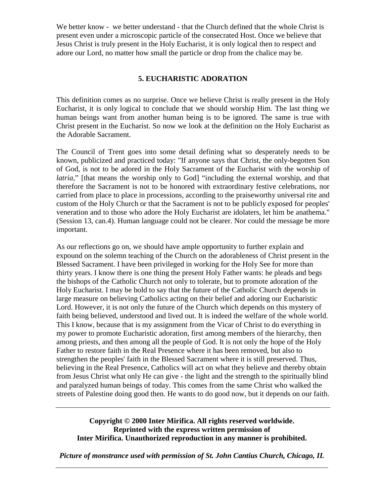We better know - we better understand - that the Church defined that the whole Christ is present even under a microscopic particle of the consecrated Host. Once we believe that Jesus Christ is truly present in the Holy Eucharist, it is only logical then to respect and adore our Lord, no matter how small the particle or drop from the chalice may be.

## **5. EUCHARISTIC ADORATION**

This definition comes as no surprise. Once we believe Christ is really present in the Holy Eucharist, it is only logical to conclude that we should worship Him. The last thing we human beings want from another human being is to be ignored. The same is true with Christ present in the Eucharist. So now we look at the definition on the Holy Eucharist as the Adorable Sacrament.

The Council of Trent goes into some detail defining what so desperately needs to be known, publicized and practiced today: "If anyone says that Christ, the only-begotten Son of God, is not to be adored in the Holy Sacrament of the Eucharist with the worship of *latria*," [that means the worship only to God] "including the external worship, and that therefore the Sacrament is not to be honored with extraordinary festive celebrations, nor carried from place to place in processions, according to the praiseworthy universal rite and custom of the Holy Church or that the Sacrament is not to be publicly exposed for peoples' veneration and to those who adore the Holy Eucharist are idolaters, let him be anathema." (Session 13, can.4). Human language could not be clearer. Nor could the message be more important.

As our reflections go on, we should have ample opportunity to further explain and expound on the solemn teaching of the Church on the adorableness of Christ present in the Blessed Sacrament. I have been privileged in working for the Holy See for more than thirty years. I know there is one thing the present Holy Father wants: he pleads and begs the bishops of the Catholic Church not only to tolerate, but to promote adoration of the Holy Eucharist. I may be bold to say that the future of the Catholic Church depends in large measure on believing Catholics acting on their belief and adoring our Eucharistic Lord. However, it is not only the future of the Church which depends on this mystery of faith being believed, understood and lived out. It is indeed the welfare of the whole world. This I know, because that is my assignment from the Vicar of Christ to do everything in my power to promote Eucharistic adoration, first among members of the hierarchy, then among priests, and then among all the people of God. It is not only the hope of the Holy Father to restore faith in the Real Presence where it has been removed, but also to strengthen the peoples' faith in the Blessed Sacrament where it is still preserved. Thus, believing in the Real Presence, Catholics will act on what they believe and thereby obtain from Jesus Christ what only He can give - the light and the strength to the spiritually blind and paralyzed human beings of today. This comes from the same Christ who walked the streets of Palestine doing good then. He wants to do good now, but it depends on our faith.

**Copyright © 2000 Inter Mirifica. All rights reserved worldwide. Reprinted with the express written permission of Inter Mirifica. Unauthorized reproduction in any manner is prohibited.** 

*Picture of monstrance used with permission of St. John Cantius Church, Chicago, IL*